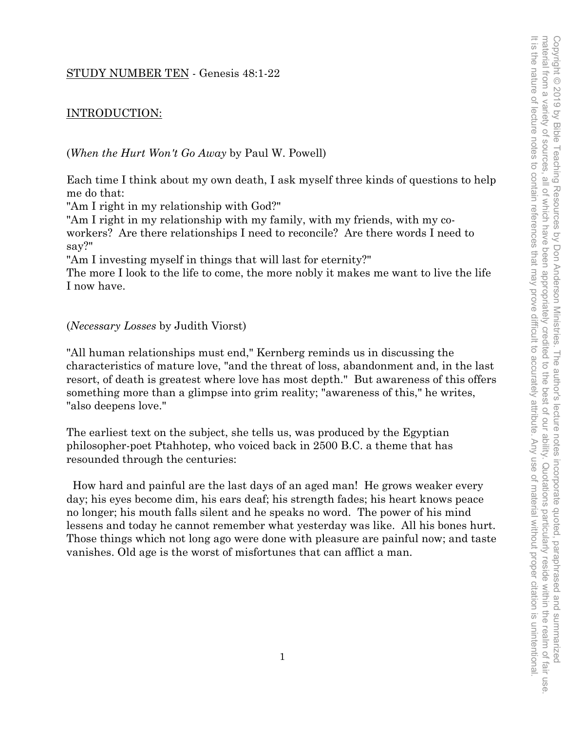# STUDY NUMBER TEN - Genesis 48:1-22

# INTRODUCTION:

(*When the Hurt Won't Go Away* by Paul W. Powell)

Each time I think about my own death, I ask myself three kinds of questions to help me do that:

"Am I right in my relationship with God?"

"Am I right in my relationship with my family, with my friends, with my coworkers? Are there relationships I need to reconcile? Are there words I need to say?"

"Am I investing myself in things that will last for eternity?"

The more I look to the life to come, the more nobly it makes me want to live the life I now have.

## (*Necessary Losses* by Judith Viorst)

"All human relationships must end," Kernberg reminds us in discussing the characteristics of mature love, "and the threat of loss, abandonment and, in the last resort, of death is greatest where love has most depth." But awareness of this offers something more than a glimpse into grim reality; "awareness of this," he writes, "also deepens love."

The earliest text on the subject, she tells us, was produced by the Egyptian philosopher-poet Ptahhotep, who voiced back in 2500 B.C. a theme that has resounded through the centuries:

 How hard and painful are the last days of an aged man! He grows weaker every day; his eyes become dim, his ears deaf; his strength fades; his heart knows peace no longer; his mouth falls silent and he speaks no word. The power of his mind lessens and today he cannot remember what yesterday was like. All his bones hurt. Those things which not long ago were done with pleasure are painful now; and taste vanishes. Old age is the worst of misfortunes that can afflict a man.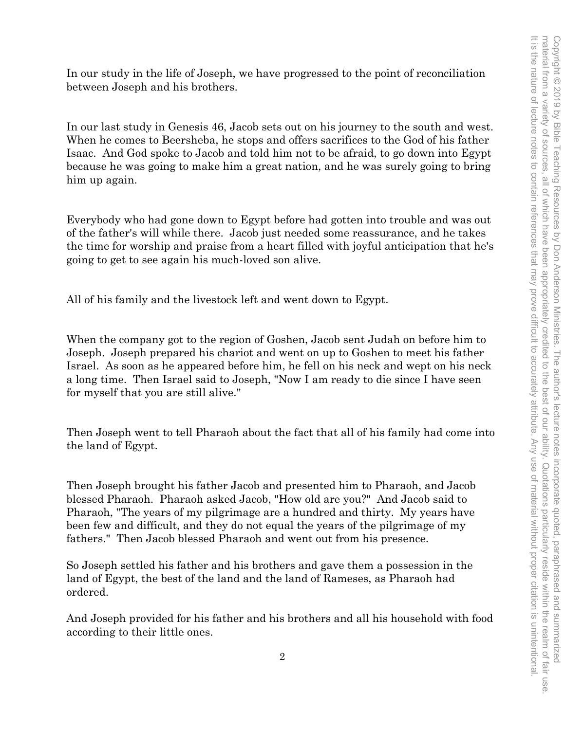In our study in the life of Joseph, we have progressed to the point of reconciliation between Joseph and his brothers.

In our last study in Genesis 46, Jacob sets out on his journey to the south and west. When he comes to Beersheba, he stops and offers sacrifices to the God of his father Isaac. And God spoke to Jacob and told him not to be afraid, to go down into Egypt because he was going to make him a great nation, and he was surely going to bring him up again.

Everybody who had gone down to Egypt before had gotten into trouble and was out of the father's will while there. Jacob just needed some reassurance, and he takes the time for worship and praise from a heart filled with joyful anticipation that he's going to get to see again his much-loved son alive.

All of his family and the livestock left and went down to Egypt.

When the company got to the region of Goshen, Jacob sent Judah on before him to Joseph. Joseph prepared his chariot and went on up to Goshen to meet his father Israel. As soon as he appeared before him, he fell on his neck and wept on his neck a long time. Then Israel said to Joseph, "Now I am ready to die since I have seen for myself that you are still alive."

Then Joseph went to tell Pharaoh about the fact that all of his family had come into the land of Egypt.

Then Joseph brought his father Jacob and presented him to Pharaoh, and Jacob blessed Pharaoh. Pharaoh asked Jacob, "How old are you?" And Jacob said to Pharaoh, "The years of my pilgrimage are a hundred and thirty. My years have been few and difficult, and they do not equal the years of the pilgrimage of my fathers." Then Jacob blessed Pharaoh and went out from his presence.

So Joseph settled his father and his brothers and gave them a possession in the land of Egypt, the best of the land and the land of Rameses, as Pharaoh had ordered.

And Joseph provided for his father and his brothers and all his household with food according to their little ones.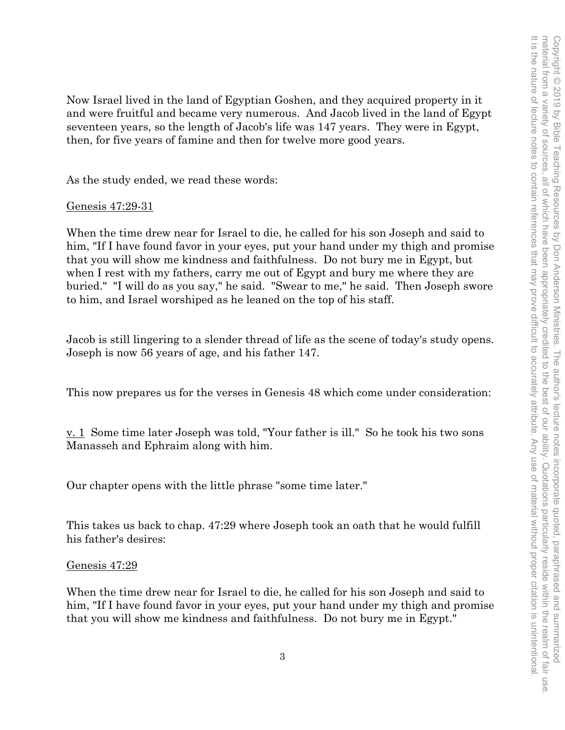Now Israel lived in the land of Egyptian Goshen, and they acquired property in it and were fruitful and became very numerous. And Jacob lived in the land of Egypt seventeen years, so the length of Jacob's life was 147 years. They were in Egypt, then, for five years of famine and then for twelve more good years.

As the study ended, we read these words:

## Genesis 47:29-31

When the time drew near for Israel to die, he called for his son Joseph and said to him, "If I have found favor in your eyes, put your hand under my thigh and promise that you will show me kindness and faithfulness. Do not bury me in Egypt, but when I rest with my fathers, carry me out of Egypt and bury me where they are buried." "I will do as you say," he said. "Swear to me," he said. Then Joseph swore to him, and Israel worshiped as he leaned on the top of his staff.

Jacob is still lingering to a slender thread of life as the scene of today's study opens. Joseph is now 56 years of age, and his father 147.

This now prepares us for the verses in Genesis 48 which come under consideration:

v. 1 Some time later Joseph was told, "Your father is ill." So he took his two sons Manasseh and Ephraim along with him.

Our chapter opens with the little phrase "some time later."

This takes us back to chap. 47:29 where Joseph took an oath that he would fulfill his father's desires:

### Genesis 47:29

When the time drew near for Israel to die, he called for his son Joseph and said to him, "If I have found favor in your eyes, put your hand under my thigh and promise that you will show me kindness and faithfulness. Do not bury me in Egypt."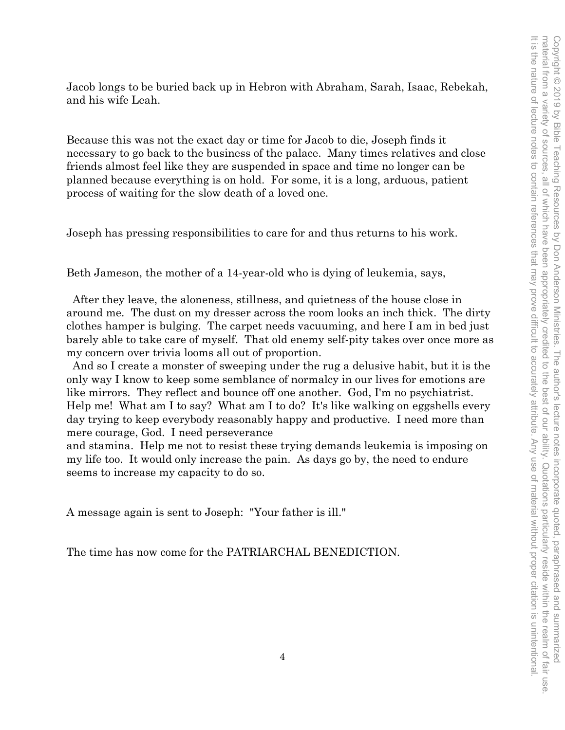Jacob longs to be buried back up in Hebron with Abraham, Sarah, Isaac, Rebekah, and his wife Leah.

Because this was not the exact day or time for Jacob to die, Joseph finds it necessary to go back to the business of the palace. Many times relatives and close friends almost feel like they are suspended in space and time no longer can be planned because everything is on hold. For some, it is a long, arduous, patient process of waiting for the slow death of a loved one.

Joseph has pressing responsibilities to care for and thus returns to his work.

Beth Jameson, the mother of a 14-year-old who is dying of leukemia, says,

 After they leave, the aloneness, stillness, and quietness of the house close in around me. The dust on my dresser across the room looks an inch thick. The dirty clothes hamper is bulging. The carpet needs vacuuming, and here I am in bed just barely able to take care of myself. That old enemy self-pity takes over once more as my concern over trivia looms all out of proportion.

 And so I create a monster of sweeping under the rug a delusive habit, but it is the only way I know to keep some semblance of normalcy in our lives for emotions are like mirrors. They reflect and bounce off one another. God, I'm no psychiatrist. Help me! What am I to say? What am I to do? It's like walking on eggshells every day trying to keep everybody reasonably happy and productive. I need more than mere courage, God. I need perseverance

and stamina. Help me not to resist these trying demands leukemia is imposing on my life too. It would only increase the pain. As days go by, the need to endure seems to increase my capacity to do so.

A message again is sent to Joseph: "Your father is ill."

The time has now come for the PATRIARCHAL BENEDICTION.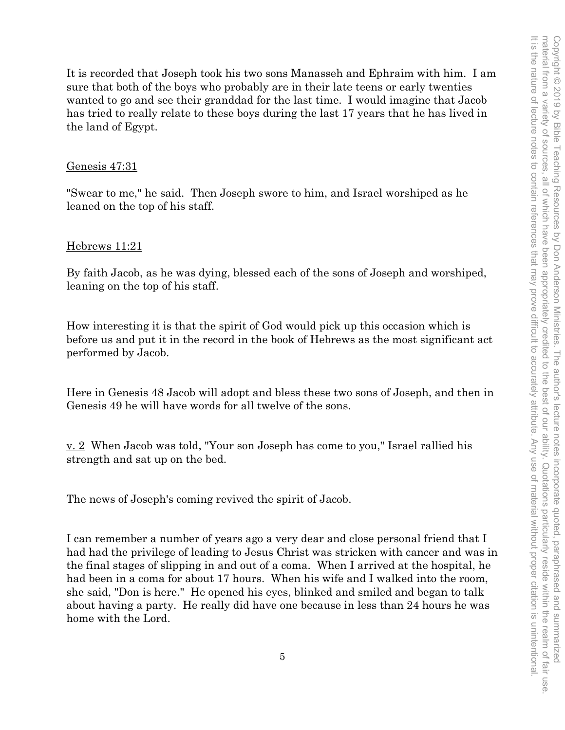It is recorded that Joseph took his two sons Manasseh and Ephraim with him. I am sure that both of the boys who probably are in their late teens or early twenties wanted to go and see their granddad for the last time. I would imagine that Jacob has tried to really relate to these boys during the last 17 years that he has lived in the land of Egypt.

# Genesis 47:31

"Swear to me," he said. Then Joseph swore to him, and Israel worshiped as he leaned on the top of his staff.

# Hebrews 11:21

By faith Jacob, as he was dying, blessed each of the sons of Joseph and worshiped, leaning on the top of his staff.

How interesting it is that the spirit of God would pick up this occasion which is before us and put it in the record in the book of Hebrews as the most significant act performed by Jacob.

Here in Genesis 48 Jacob will adopt and bless these two sons of Joseph, and then in Genesis 49 he will have words for all twelve of the sons.

v. 2 When Jacob was told, "Your son Joseph has come to you," Israel rallied his strength and sat up on the bed.

The news of Joseph's coming revived the spirit of Jacob.

I can remember a number of years ago a very dear and close personal friend that I had had the privilege of leading to Jesus Christ was stricken with cancer and was in the final stages of slipping in and out of a coma. When I arrived at the hospital, he had been in a coma for about 17 hours. When his wife and I walked into the room, she said, "Don is here." He opened his eyes, blinked and smiled and began to talk about having a party. He really did have one because in less than 24 hours he was home with the Lord.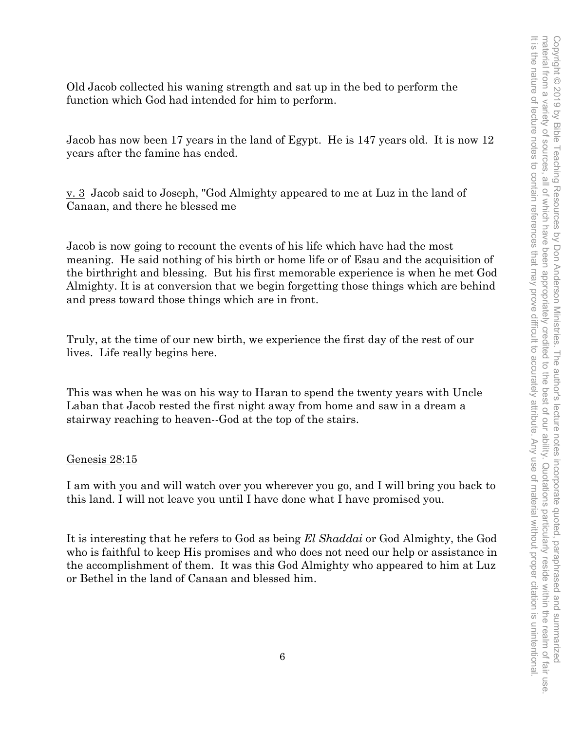Old Jacob collected his waning strength and sat up in the bed to perform the function which God had intended for him to perform.

Jacob has now been 17 years in the land of Egypt. He is 147 years old. It is now 12 years after the famine has ended.

v. 3 Jacob said to Joseph, "God Almighty appeared to me at Luz in the land of Canaan, and there he blessed me

Jacob is now going to recount the events of his life which have had the most meaning. He said nothing of his birth or home life or of Esau and the acquisition of the birthright and blessing. But his first memorable experience is when he met God Almighty. It is at conversion that we begin forgetting those things which are behind and press toward those things which are in front.

Truly, at the time of our new birth, we experience the first day of the rest of our lives. Life really begins here.

This was when he was on his way to Haran to spend the twenty years with Uncle Laban that Jacob rested the first night away from home and saw in a dream a stairway reaching to heaven--God at the top of the stairs.

## Genesis 28:15

I am with you and will watch over you wherever you go, and I will bring you back to this land. I will not leave you until I have done what I have promised you.

It is interesting that he refers to God as being *El Shaddai* or God Almighty, the God who is faithful to keep His promises and who does not need our help or assistance in the accomplishment of them. It was this God Almighty who appeared to him at Luz or Bethel in the land of Canaan and blessed him.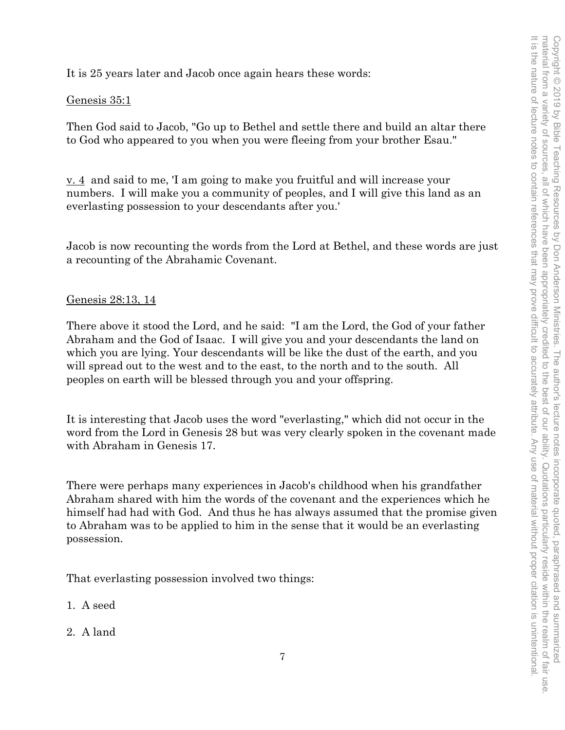It is 25 years later and Jacob once again hears these words:

## Genesis 35:1

Then God said to Jacob, "Go up to Bethel and settle there and build an altar there to God who appeared to you when you were fleeing from your brother Esau."

v. 4 and said to me, 'I am going to make you fruitful and will increase your numbers. I will make you a community of peoples, and I will give this land as an everlasting possession to your descendants after you.'

Jacob is now recounting the words from the Lord at Bethel, and these words are just a recounting of the Abrahamic Covenant.

### Genesis 28:13, 14

There above it stood the Lord, and he said: "I am the Lord, the God of your father Abraham and the God of Isaac. I will give you and your descendants the land on which you are lying. Your descendants will be like the dust of the earth, and you will spread out to the west and to the east, to the north and to the south. All peoples on earth will be blessed through you and your offspring.

It is interesting that Jacob uses the word "everlasting," which did not occur in the word from the Lord in Genesis 28 but was very clearly spoken in the covenant made with Abraham in Genesis 17.

There were perhaps many experiences in Jacob's childhood when his grandfather Abraham shared with him the words of the covenant and the experiences which he himself had had with God. And thus he has always assumed that the promise given to Abraham was to be applied to him in the sense that it would be an everlasting possession.

That everlasting possession involved two things:

- 1. A seed
- 2. A land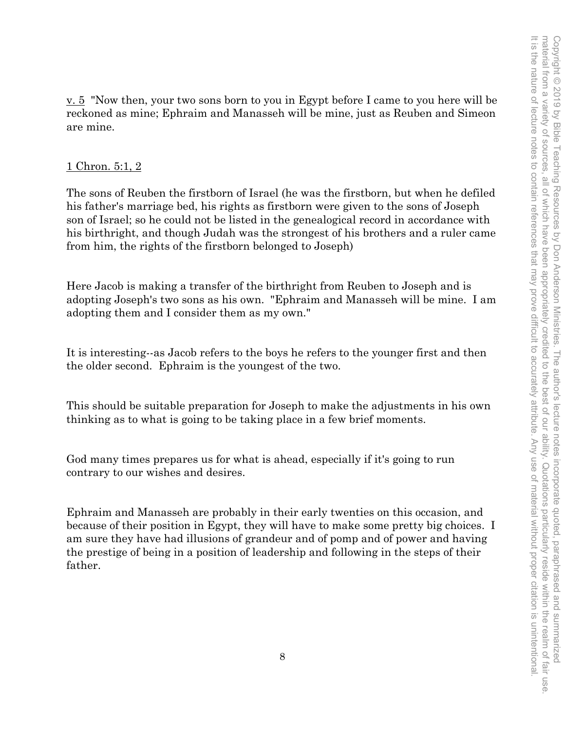v. 5 "Now then, your two sons born to you in Egypt before I came to you here will be reckoned as mine; Ephraim and Manasseh will be mine, just as Reuben and Simeon are mine.

# 1 Chron. 5:1, 2

The sons of Reuben the firstborn of Israel (he was the firstborn, but when he defiled his father's marriage bed, his rights as firstborn were given to the sons of Joseph son of Israel; so he could not be listed in the genealogical record in accordance with his birthright, and though Judah was the strongest of his brothers and a ruler came from him, the rights of the firstborn belonged to Joseph)

Here Jacob is making a transfer of the birthright from Reuben to Joseph and is adopting Joseph's two sons as his own. "Ephraim and Manasseh will be mine. I am adopting them and I consider them as my own."

It is interesting--as Jacob refers to the boys he refers to the younger first and then the older second. Ephraim is the youngest of the two.

This should be suitable preparation for Joseph to make the adjustments in his own thinking as to what is going to be taking place in a few brief moments.

God many times prepares us for what is ahead, especially if it's going to run contrary to our wishes and desires.

Ephraim and Manasseh are probably in their early twenties on this occasion, and because of their position in Egypt, they will have to make some pretty big choices. I am sure they have had illusions of grandeur and of pomp and of power and having the prestige of being in a position of leadership and following in the steps of their father.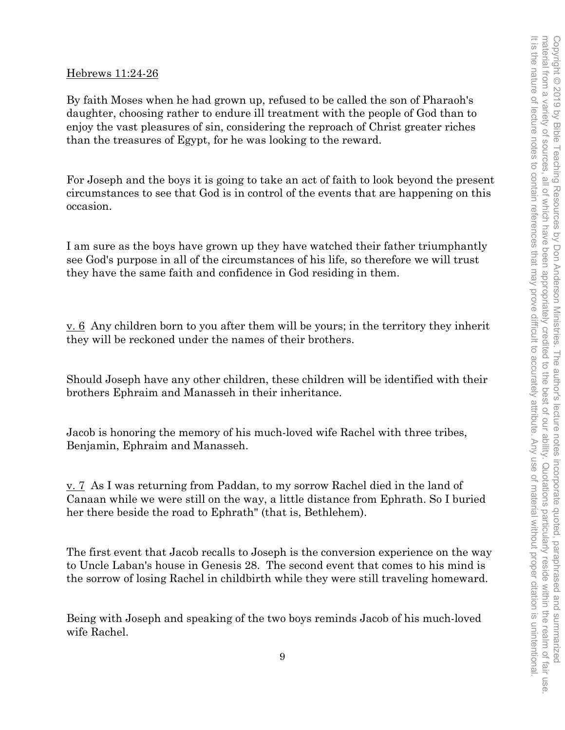#### Hebrews 11:24-26

By faith Moses when he had grown up, refused to be called the son of Pharaoh's daughter, choosing rather to endure ill treatment with the people of God than to enjoy the vast pleasures of sin, considering the reproach of Christ greater riches than the treasures of Egypt, for he was looking to the reward.

For Joseph and the boys it is going to take an act of faith to look beyond the present circumstances to see that God is in control of the events that are happening on this occasion.

I am sure as the boys have grown up they have watched their father triumphantly see God's purpose in all of the circumstances of his life, so therefore we will trust they have the same faith and confidence in God residing in them.

v. 6 Any children born to you after them will be yours; in the territory they inherit they will be reckoned under the names of their brothers.

Should Joseph have any other children, these children will be identified with their brothers Ephraim and Manasseh in their inheritance.

Jacob is honoring the memory of his much-loved wife Rachel with three tribes, Benjamin, Ephraim and Manasseh.

v. 7 As I was returning from Paddan, to my sorrow Rachel died in the land of Canaan while we were still on the way, a little distance from Ephrath. So I buried her there beside the road to Ephrath" (that is, Bethlehem).

The first event that Jacob recalls to Joseph is the conversion experience on the way to Uncle Laban's house in Genesis 28. The second event that comes to his mind is the sorrow of losing Rachel in childbirth while they were still traveling homeward.

Being with Joseph and speaking of the two boys reminds Jacob of his much-loved wife Rachel.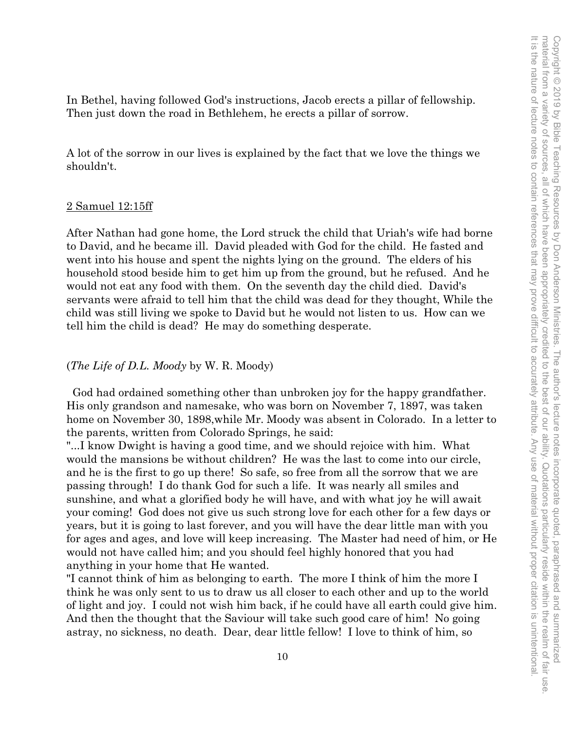In Bethel, having followed God's instructions, Jacob erects a pillar of fellowship. Then just down the road in Bethlehem, he erects a pillar of sorrow.

A lot of the sorrow in our lives is explained by the fact that we love the things we shouldn't.

## 2 Samuel 12:15ff

After Nathan had gone home, the Lord struck the child that Uriah's wife had borne to David, and he became ill. David pleaded with God for the child. He fasted and went into his house and spent the nights lying on the ground. The elders of his household stood beside him to get him up from the ground, but he refused. And he would not eat any food with them. On the seventh day the child died. David's servants were afraid to tell him that the child was dead for they thought, While the child was still living we spoke to David but he would not listen to us. How can we tell him the child is dead? He may do something desperate.

### (*The Life of D.L. Moody* by W. R. Moody)

 God had ordained something other than unbroken joy for the happy grandfather. His only grandson and namesake, who was born on November 7, 1897, was taken home on November 30, 1898,while Mr. Moody was absent in Colorado. In a letter to the parents, written from Colorado Springs, he said:

"...I know Dwight is having a good time, and we should rejoice with him. What would the mansions be without children? He was the last to come into our circle, and he is the first to go up there! So safe, so free from all the sorrow that we are passing through! I do thank God for such a life. It was nearly all smiles and sunshine, and what a glorified body he will have, and with what joy he will await your coming! God does not give us such strong love for each other for a few days or years, but it is going to last forever, and you will have the dear little man with you for ages and ages, and love will keep increasing. The Master had need of him, or He would not have called him; and you should feel highly honored that you had anything in your home that He wanted.

"I cannot think of him as belonging to earth. The more I think of him the more I think he was only sent to us to draw us all closer to each other and up to the world of light and joy. I could not wish him back, if he could have all earth could give him. And then the thought that the Saviour will take such good care of him! No going astray, no sickness, no death. Dear, dear little fellow! I love to think of him, so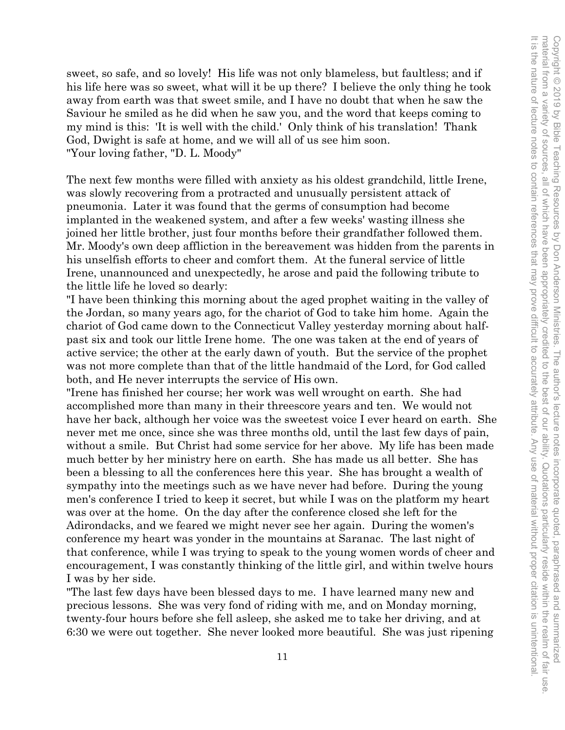sweet, so safe, and so lovely! His life was not only blameless, but faultless; and if his life here was so sweet, what will it be up there? I believe the only thing he took away from earth was that sweet smile, and I have no doubt that when he saw the Saviour he smiled as he did when he saw you, and the word that keeps coming to my mind is this: 'It is well with the child.' Only think of his translation! Thank God, Dwight is safe at home, and we will all of us see him soon. "Your loving father, "D. L. Moody"

The next few months were filled with anxiety as his oldest grandchild, little Irene, was slowly recovering from a protracted and unusually persistent attack of pneumonia. Later it was found that the germs of consumption had become implanted in the weakened system, and after a few weeks' wasting illness she joined her little brother, just four months before their grandfather followed them. Mr. Moody's own deep affliction in the bereavement was hidden from the parents in his unselfish efforts to cheer and comfort them. At the funeral service of little Irene, unannounced and unexpectedly, he arose and paid the following tribute to the little life he loved so dearly:

"I have been thinking this morning about the aged prophet waiting in the valley of the Jordan, so many years ago, for the chariot of God to take him home. Again the chariot of God came down to the Connecticut Valley yesterday morning about halfpast six and took our little Irene home. The one was taken at the end of years of active service; the other at the early dawn of youth. But the service of the prophet was not more complete than that of the little handmaid of the Lord, for God called both, and He never interrupts the service of His own.

"Irene has finished her course; her work was well wrought on earth. She had accomplished more than many in their threescore years and ten. We would not have her back, although her voice was the sweetest voice I ever heard on earth. She never met me once, since she was three months old, until the last few days of pain, without a smile. But Christ had some service for her above. My life has been made much better by her ministry here on earth. She has made us all better. She has been a blessing to all the conferences here this year. She has brought a wealth of sympathy into the meetings such as we have never had before. During the young men's conference I tried to keep it secret, but while I was on the platform my heart was over at the home. On the day after the conference closed she left for the Adirondacks, and we feared we might never see her again. During the women's conference my heart was yonder in the mountains at Saranac. The last night of that conference, while I was trying to speak to the young women words of cheer and encouragement, I was constantly thinking of the little girl, and within twelve hours I was by her side.

"The last few days have been blessed days to me. I have learned many new and precious lessons. She was very fond of riding with me, and on Monday morning, twenty-four hours before she fell asleep, she asked me to take her driving, and at 6:30 we were out together. She never looked more beautiful. She was just ripening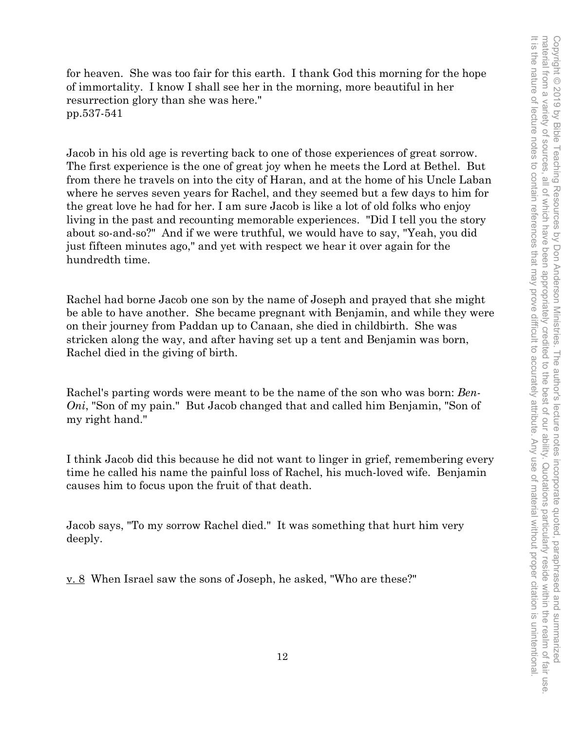for heaven. She was too fair for this earth. I thank God this morning for the hope of immortality. I know I shall see her in the morning, more beautiful in her resurrection glory than she was here." pp.537-541

Jacob in his old age is reverting back to one of those experiences of great sorrow. The first experience is the one of great joy when he meets the Lord at Bethel. But from there he travels on into the city of Haran, and at the home of his Uncle Laban where he serves seven years for Rachel, and they seemed but a few days to him for the great love he had for her. I am sure Jacob is like a lot of old folks who enjoy living in the past and recounting memorable experiences. "Did I tell you the story about so-and-so?" And if we were truthful, we would have to say, "Yeah, you did just fifteen minutes ago," and yet with respect we hear it over again for the hundredth time.

Rachel had borne Jacob one son by the name of Joseph and prayed that she might be able to have another. She became pregnant with Benjamin, and while they were on their journey from Paddan up to Canaan, she died in childbirth. She was stricken along the way, and after having set up a tent and Benjamin was born, Rachel died in the giving of birth.

Rachel's parting words were meant to be the name of the son who was born: *Ben-Oni*, "Son of my pain." But Jacob changed that and called him Benjamin, "Son of my right hand."

I think Jacob did this because he did not want to linger in grief, remembering every time he called his name the painful loss of Rachel, his much-loved wife. Benjamin causes him to focus upon the fruit of that death.

Jacob says, "To my sorrow Rachel died." It was something that hurt him very deeply.

v. 8 When Israel saw the sons of Joseph, he asked, "Who are these?"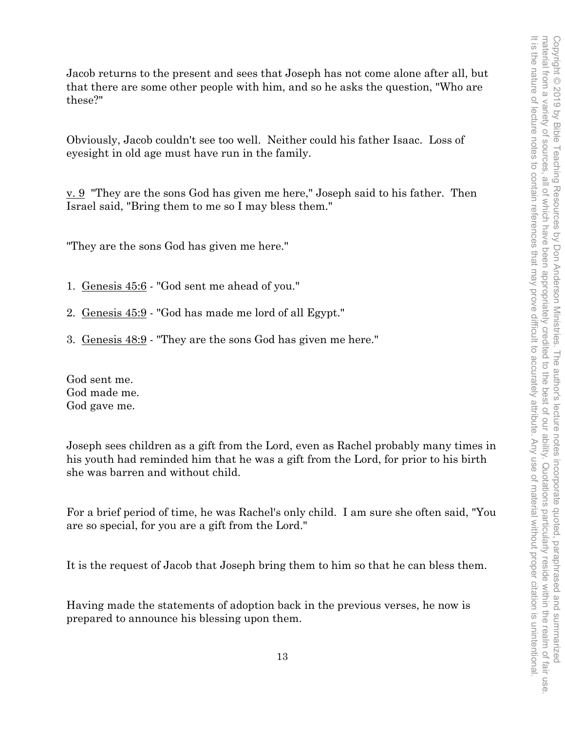Jacob returns to the present and sees that Joseph has not come alone after all, but that there are some other people with him, and so he asks the question, "Who are these?"

Obviously, Jacob couldn't see too well. Neither could his father Isaac. Loss of eyesight in old age must have run in the family.

v. 9 "They are the sons God has given me here," Joseph said to his father. Then Israel said, "Bring them to me so I may bless them."

"They are the sons God has given me here."

- 1. Genesis 45:6 "God sent me ahead of you."
- 2. Genesis 45:9 "God has made me lord of all Egypt."
- 3. Genesis 48:9 "They are the sons God has given me here."

God sent me. God made me. God gave me.

Joseph sees children as a gift from the Lord, even as Rachel probably many times in his youth had reminded him that he was a gift from the Lord, for prior to his birth she was barren and without child.

For a brief period of time, he was Rachel's only child. I am sure she often said, "You are so special, for you are a gift from the Lord."

It is the request of Jacob that Joseph bring them to him so that he can bless them.

Having made the statements of adoption back in the previous verses, he now is prepared to announce his blessing upon them.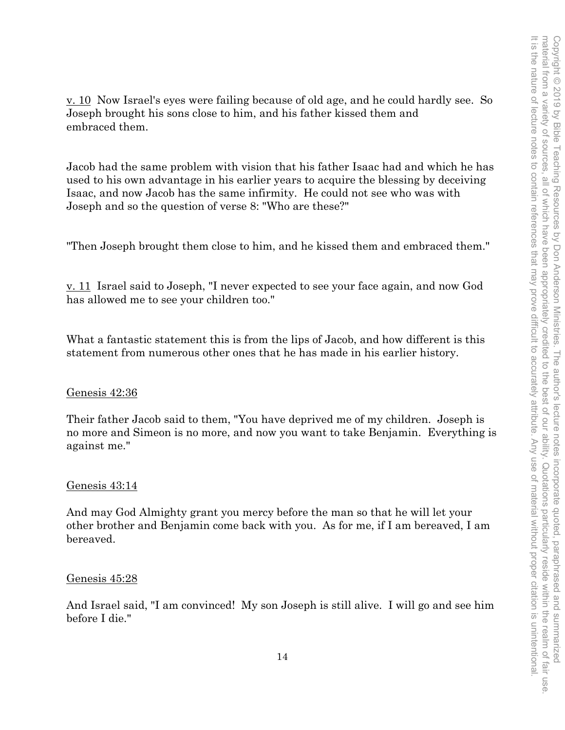v. 10 Now Israel's eyes were failing because of old age, and he could hardly see. So Joseph brought his sons close to him, and his father kissed them and embraced them.

Jacob had the same problem with vision that his father Isaac had and which he has used to his own advantage in his earlier years to acquire the blessing by deceiving Isaac, and now Jacob has the same infirmity. He could not see who was with Joseph and so the question of verse 8: "Who are these?"

"Then Joseph brought them close to him, and he kissed them and embraced them."

v. 11 Israel said to Joseph, "I never expected to see your face again, and now God has allowed me to see your children too."

What a fantastic statement this is from the lips of Jacob, and how different is this statement from numerous other ones that he has made in his earlier history.

## Genesis 42:36

Their father Jacob said to them, "You have deprived me of my children. Joseph is no more and Simeon is no more, and now you want to take Benjamin. Everything is against me."

## Genesis 43:14

And may God Almighty grant you mercy before the man so that he will let your other brother and Benjamin come back with you. As for me, if I am bereaved, I am bereaved.

### Genesis 45:28

And Israel said, "I am convinced! My son Joseph is still alive. I will go and see him before I die."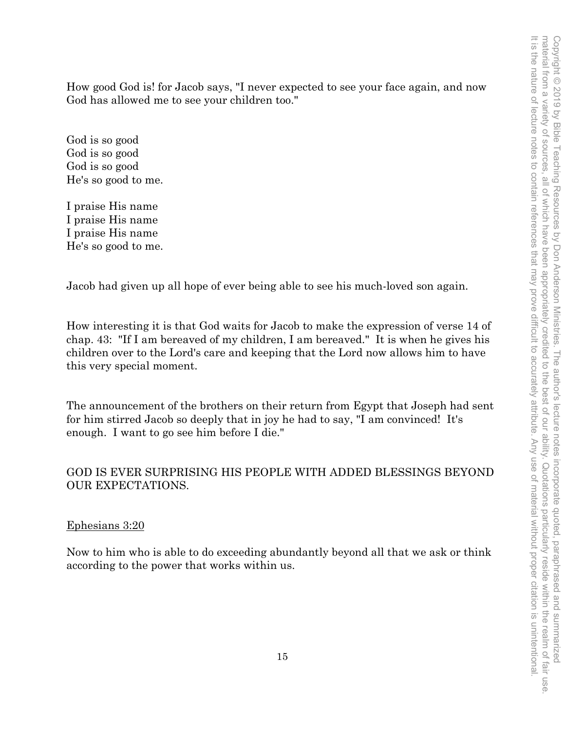How good God is! for Jacob says, "I never expected to see your face again, and now God has allowed me to see your children too."

God is so good God is so good God is so good He's so good to me.

I praise His name I praise His name I praise His name He's so good to me.

Jacob had given up all hope of ever being able to see his much-loved son again.

How interesting it is that God waits for Jacob to make the expression of verse 14 of chap. 43: "If I am bereaved of my children, I am bereaved." It is when he gives his children over to the Lord's care and keeping that the Lord now allows him to have this very special moment.

The announcement of the brothers on their return from Egypt that Joseph had sent for him stirred Jacob so deeply that in joy he had to say, "I am convinced! It's enough. I want to go see him before I die."

# GOD IS EVER SURPRISING HIS PEOPLE WITH ADDED BLESSINGS BEYOND OUR EXPECTATIONS.

# Ephesians 3:20

Now to him who is able to do exceeding abundantly beyond all that we ask or think according to the power that works within us.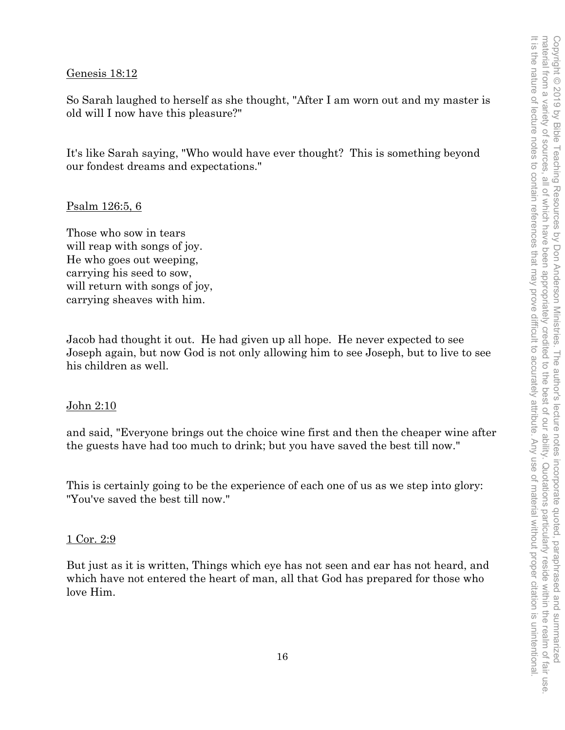### Genesis 18:12

So Sarah laughed to herself as she thought, "After I am worn out and my master is old will I now have this pleasure?"

It's like Sarah saying, "Who would have ever thought? This is something beyond our fondest dreams and expectations."

## Psalm 126:5, 6

Those who sow in tears will reap with songs of joy. He who goes out weeping, carrying his seed to sow, will return with songs of joy, carrying sheaves with him.

Jacob had thought it out. He had given up all hope. He never expected to see Joseph again, but now God is not only allowing him to see Joseph, but to live to see his children as well.

### John 2:10

and said, "Everyone brings out the choice wine first and then the cheaper wine after the guests have had too much to drink; but you have saved the best till now."

This is certainly going to be the experience of each one of us as we step into glory: "You've saved the best till now."

### 1 Cor. 2:9

But just as it is written, Things which eye has not seen and ear has not heard, and which have not entered the heart of man, all that God has prepared for those who love Him.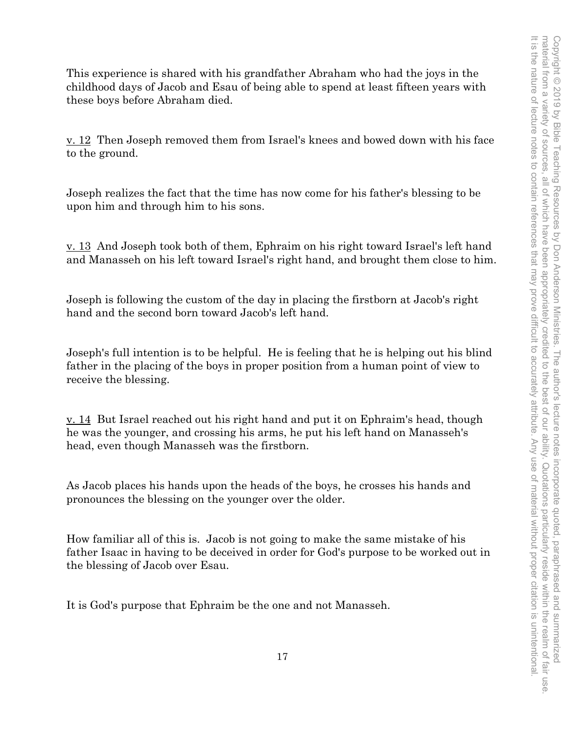This experience is shared with his grandfather Abraham who had the joys in the childhood days of Jacob and Esau of being able to spend at least fifteen years with these boys before Abraham died.

v. 12 Then Joseph removed them from Israel's knees and bowed down with his face to the ground.

Joseph realizes the fact that the time has now come for his father's blessing to be upon him and through him to his sons.

<u>v. 13</u> And Joseph took both of them, Ephraim on his right toward Israel's left hand and Manasseh on his left toward Israel's right hand, and brought them close to him.

Joseph is following the custom of the day in placing the firstborn at Jacob's right hand and the second born toward Jacob's left hand.

Joseph's full intention is to be helpful. He is feeling that he is helping out his blind father in the placing of the boys in proper position from a human point of view to receive the blessing.

v. 14 But Israel reached out his right hand and put it on Ephraim's head, though he was the younger, and crossing his arms, he put his left hand on Manasseh's head, even though Manasseh was the firstborn.

As Jacob places his hands upon the heads of the boys, he crosses his hands and pronounces the blessing on the younger over the older.

How familiar all of this is. Jacob is not going to make the same mistake of his father Isaac in having to be deceived in order for God's purpose to be worked out in the blessing of Jacob over Esau.

It is God's purpose that Ephraim be the one and not Manasseh.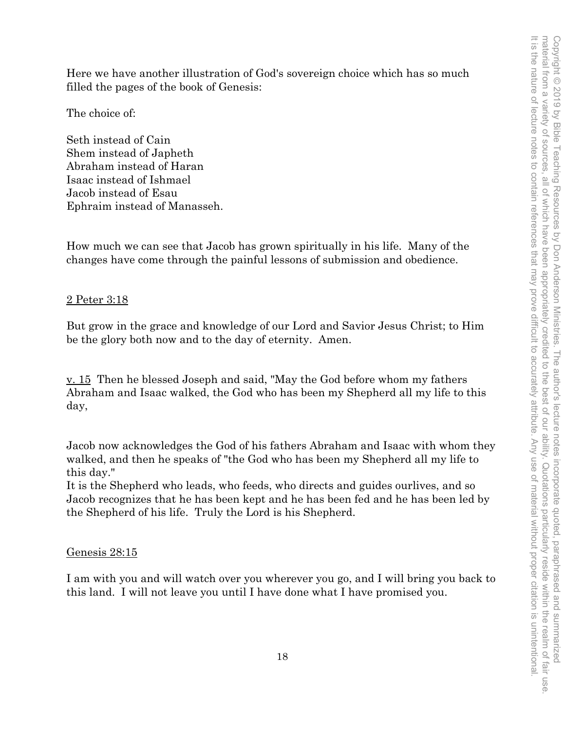Here we have another illustration of God's sovereign choice which has so much filled the pages of the book of Genesis:

The choice of:

Seth instead of Cain Shem instead of Japheth Abraham instead of Haran Isaac instead of Ishmael Jacob instead of Esau Ephraim instead of Manasseh.

How much we can see that Jacob has grown spiritually in his life. Many of the changes have come through the painful lessons of submission and obedience.

### 2 Peter 3:18

But grow in the grace and knowledge of our Lord and Savior Jesus Christ; to Him be the glory both now and to the day of eternity. Amen.

<u>v. 15</u> Then he blessed Joseph and said, "May the God before whom my fathers Abraham and Isaac walked, the God who has been my Shepherd all my life to this day,

Jacob now acknowledges the God of his fathers Abraham and Isaac with whom they walked, and then he speaks of "the God who has been my Shepherd all my life to this day."

It is the Shepherd who leads, who feeds, who directs and guides ourlives, and so Jacob recognizes that he has been kept and he has been fed and he has been led by the Shepherd of his life. Truly the Lord is his Shepherd.

#### Genesis 28:15

I am with you and will watch over you wherever you go, and I will bring you back to this land. I will not leave you until I have done what I have promised you.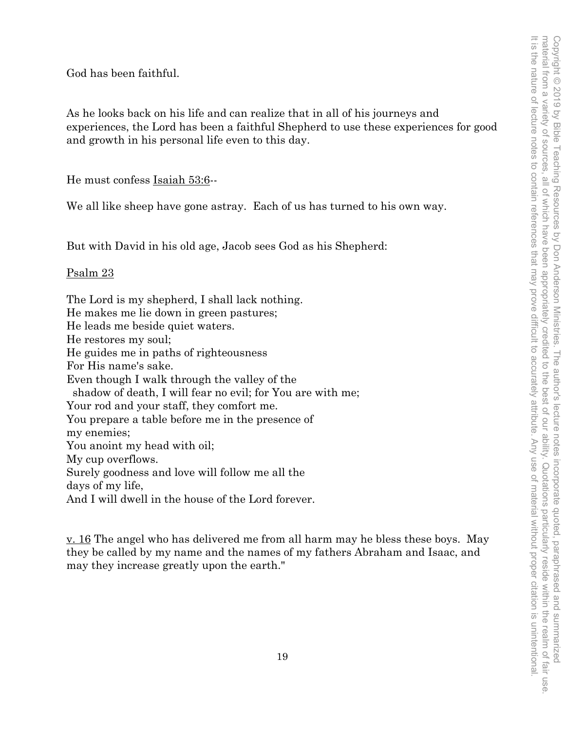God has been faithful.

As he looks back on his life and can realize that in all of his journeys and experiences, the Lord has been a faithful Shepherd to use these experiences for good and growth in his personal life even to this day.

He must confess Isaiah 53:6--

We all like sheep have gone astray. Each of us has turned to his own way.

But with David in his old age, Jacob sees God as his Shepherd:

## Psalm 23

The Lord is my shepherd, I shall lack nothing. He makes me lie down in green pastures; He leads me beside quiet waters. He restores my soul; He guides me in paths of righteousness For His name's sake. Even though I walk through the valley of the shadow of death, I will fear no evil; for You are with me; Your rod and your staff, they comfort me. You prepare a table before me in the presence of my enemies; You anoint my head with oil; My cup overflows. Surely goodness and love will follow me all the days of my life, And I will dwell in the house of the Lord forever.

v. 16 The angel who has delivered me from all harm may he bless these boys. May they be called by my name and the names of my fathers Abraham and Isaac, and may they increase greatly upon the earth."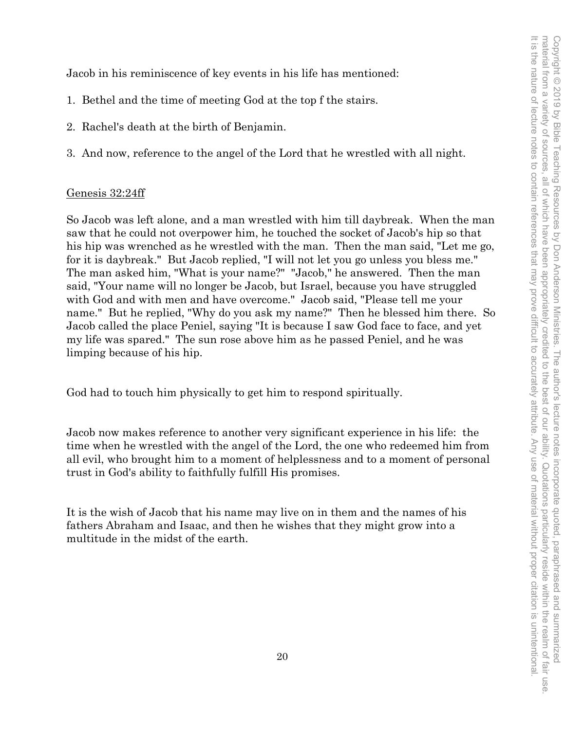Jacob in his reminiscence of key events in his life has mentioned:

- 1. Bethel and the time of meeting God at the top f the stairs.
- 2. Rachel's death at the birth of Benjamin.
- 3. And now, reference to the angel of the Lord that he wrestled with all night.

#### Genesis 32:24ff

So Jacob was left alone, and a man wrestled with him till daybreak. When the man saw that he could not overpower him, he touched the socket of Jacob's hip so that his hip was wrenched as he wrestled with the man. Then the man said, "Let me go, for it is daybreak." But Jacob replied, "I will not let you go unless you bless me." The man asked him, "What is your name?" "Jacob," he answered. Then the man said, "Your name will no longer be Jacob, but Israel, because you have struggled with God and with men and have overcome." Jacob said, "Please tell me your name." But he replied, "Why do you ask my name?" Then he blessed him there. So Jacob called the place Peniel, saying "It is because I saw God face to face, and yet my life was spared." The sun rose above him as he passed Peniel, and he was limping because of his hip.

God had to touch him physically to get him to respond spiritually.

Jacob now makes reference to another very significant experience in his life: the time when he wrestled with the angel of the Lord, the one who redeemed him from all evil, who brought him to a moment of helplessness and to a moment of personal trust in God's ability to faithfully fulfill His promises.

It is the wish of Jacob that his name may live on in them and the names of his fathers Abraham and Isaac, and then he wishes that they might grow into a multitude in the midst of the earth.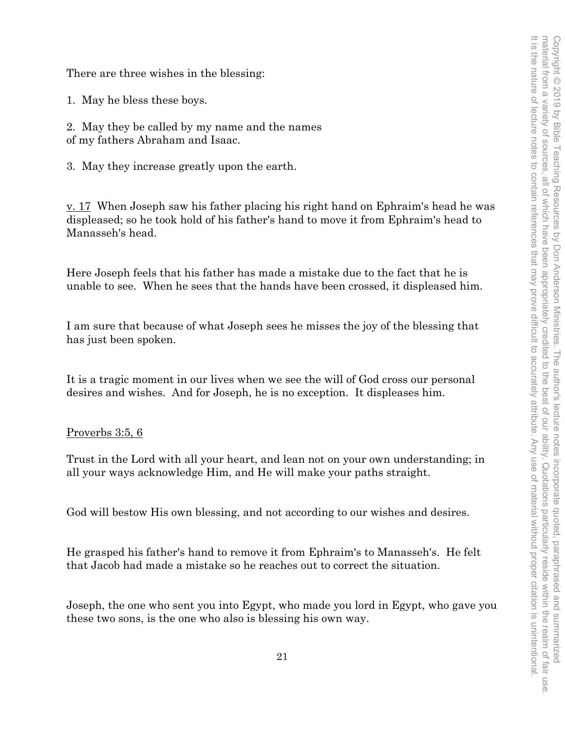There are three wishes in the blessing:

1. May he bless these boys.

2. May they be called by my name and the names of my fathers Abraham and Isaac.

3. May they increase greatly upon the earth.

<u>v. 17</u> When Joseph saw his father placing his right hand on Ephraim's head he was displeased; so he took hold of his father's hand to move it from Ephraim's head to Manasseh's head.

Here Joseph feels that his father has made a mistake due to the fact that he is unable to see. When he sees that the hands have been crossed, it displeased him.

I am sure that because of what Joseph sees he misses the joy of the blessing that has just been spoken.

It is a tragic moment in our lives when we see the will of God cross our personal desires and wishes. And for Joseph, he is no exception. It displeases him.

### Proverbs 3:5, 6

Trust in the Lord with all your heart, and lean not on your own understanding; in all your ways acknowledge Him, and He will make your paths straight.

God will bestow His own blessing, and not according to our wishes and desires.

He grasped his father's hand to remove it from Ephraim's to Manasseh's. He felt that Jacob had made a mistake so he reaches out to correct the situation.

Joseph, the one who sent you into Egypt, who made you lord in Egypt, who gave you these two sons, is the one who also is blessing his own way.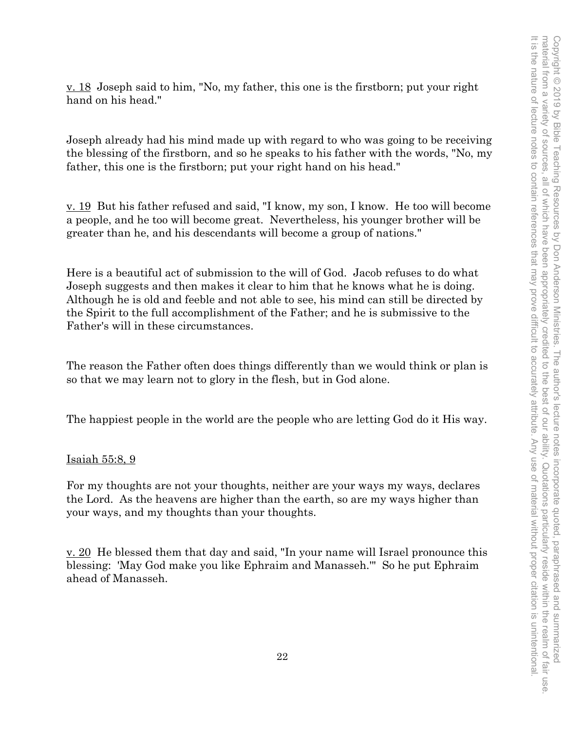v. 18 Joseph said to him, "No, my father, this one is the firstborn; put your right hand on his head."

Joseph already had his mind made up with regard to who was going to be receiving the blessing of the firstborn, and so he speaks to his father with the words, "No, my father, this one is the firstborn; put your right hand on his head."

v. 19 But his father refused and said, "I know, my son, I know. He too will become a people, and he too will become great. Nevertheless, his younger brother will be greater than he, and his descendants will become a group of nations."

Here is a beautiful act of submission to the will of God. Jacob refuses to do what Joseph suggests and then makes it clear to him that he knows what he is doing. Although he is old and feeble and not able to see, his mind can still be directed by the Spirit to the full accomplishment of the Father; and he is submissive to the Father's will in these circumstances.

The reason the Father often does things differently than we would think or plan is so that we may learn not to glory in the flesh, but in God alone.

The happiest people in the world are the people who are letting God do it His way.

## Isaiah 55:8, 9

For my thoughts are not your thoughts, neither are your ways my ways, declares the Lord. As the heavens are higher than the earth, so are my ways higher than your ways, and my thoughts than your thoughts.

<u>v. 20</u> He blessed them that day and said, "In your name will Israel pronounce this blessing: 'May God make you like Ephraim and Manasseh.'" So he put Ephraim ahead of Manasseh.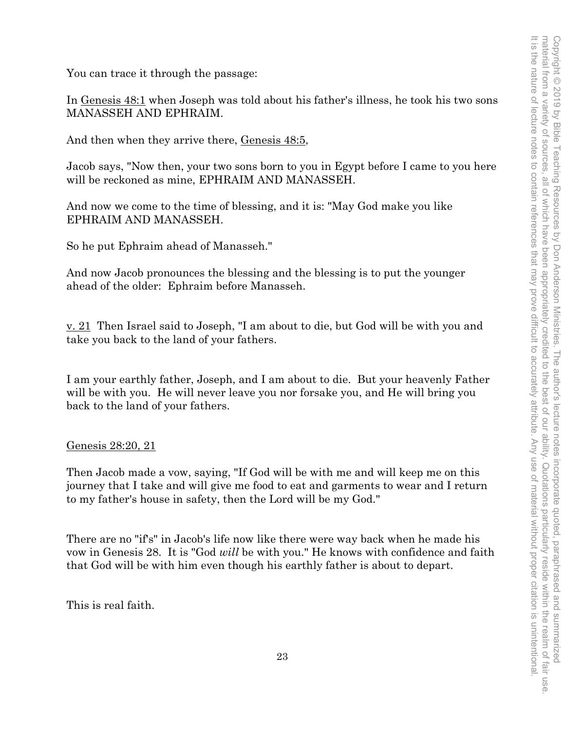You can trace it through the passage:

In Genesis 48:1 when Joseph was told about his father's illness, he took his two sons MANASSEH AND EPHRAIM.

And then when they arrive there, Genesis 48:5,

Jacob says, "Now then, your two sons born to you in Egypt before I came to you here will be reckoned as mine, EPHRAIM AND MANASSEH.

And now we come to the time of blessing, and it is: "May God make you like EPHRAIM AND MANASSEH.

So he put Ephraim ahead of Manasseh."

And now Jacob pronounces the blessing and the blessing is to put the younger ahead of the older: Ephraim before Manasseh.

v. 21 Then Israel said to Joseph, "I am about to die, but God will be with you and take you back to the land of your fathers.

I am your earthly father, Joseph, and I am about to die. But your heavenly Father will be with you. He will never leave you nor forsake you, and He will bring you back to the land of your fathers.

## Genesis 28:20, 21

Then Jacob made a vow, saying, "If God will be with me and will keep me on this journey that I take and will give me food to eat and garments to wear and I return to my father's house in safety, then the Lord will be my God."

There are no "if's" in Jacob's life now like there were way back when he made his vow in Genesis 28. It is "God *will* be with you." He knows with confidence and faith that God will be with him even though his earthly father is about to depart.

This is real faith.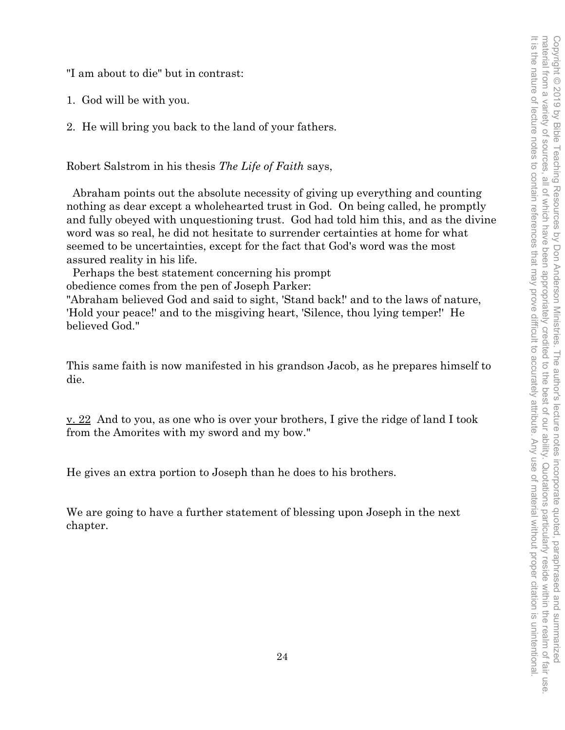"I am about to die" but in contrast:

1. God will be with you.

2. He will bring you back to the land of your fathers.

Robert Salstrom in his thesis *The Life of Faith* says,

 Abraham points out the absolute necessity of giving up everything and counting nothing as dear except a wholehearted trust in God. On being called, he promptly and fully obeyed with unquestioning trust. God had told him this, and as the divine word was so real, he did not hesitate to surrender certainties at home for what seemed to be uncertainties, except for the fact that God's word was the most assured reality in his life.

Perhaps the best statement concerning his prompt

obedience comes from the pen of Joseph Parker:

"Abraham believed God and said to sight, 'Stand back!' and to the laws of nature, 'Hold your peace!' and to the misgiving heart, 'Silence, thou lying temper!' He believed God."

This same faith is now manifested in his grandson Jacob, as he prepares himself to die.

v. 22 And to you, as one who is over your brothers, I give the ridge of land I took from the Amorites with my sword and my bow."

He gives an extra portion to Joseph than he does to his brothers.

We are going to have a further statement of blessing upon Joseph in the next chapter.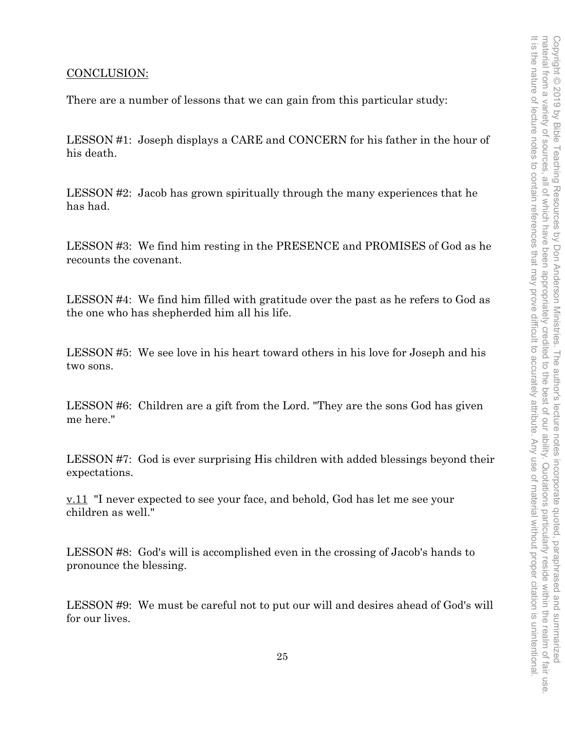## CONCLUSION:

There are a number of lessons that we can gain from this particular study:

LESSON #1: Joseph displays a CARE and CONCERN for his father in the hour of his death.

LESSON #2: Jacob has grown spiritually through the many experiences that he has had.

LESSON #3: We find him resting in the PRESENCE and PROMISES of God as he recounts the covenant.

LESSON #4: We find him filled with gratitude over the past as he refers to God as the one who has shepherded him all his life.

LESSON #5: We see love in his heart toward others in his love for Joseph and his two sons.

LESSON #6: Children are a gift from the Lord. "They are the sons God has given me here."

LESSON #7: God is ever surprising His children with added blessings beyond their expectations.

v.11 "I never expected to see your face, and behold, God has let me see your children as well."

LESSON #8: God's will is accomplished even in the crossing of Jacob's hands to pronounce the blessing.

LESSON #9: We must be careful not to put our will and desires ahead of God's will for our lives.